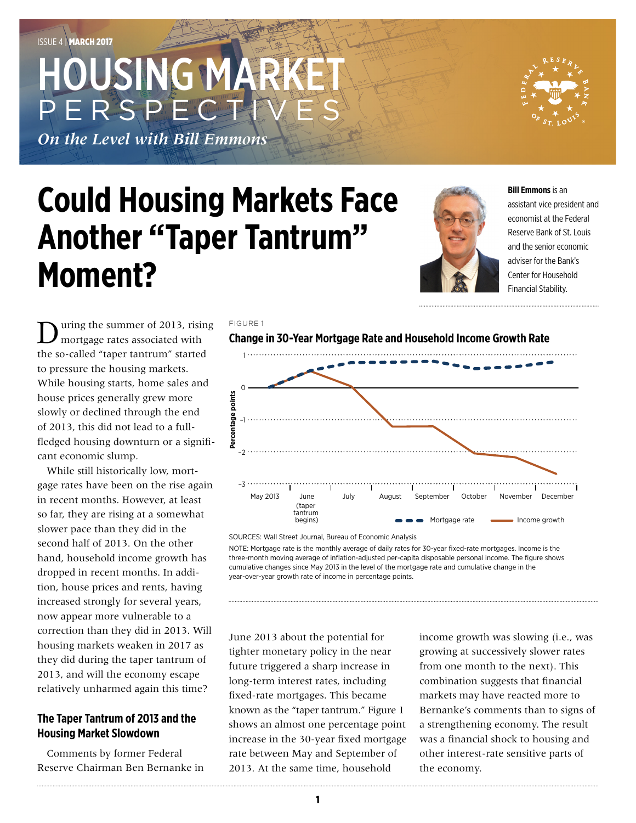# HOUSING MA PERSPE

*On the Level with Bill Emmons*

# **Could Housing Markets Face Another "Taper Tantrum" Moment?**

FIGURE 1



**Bill Emmons** is an assistant vice president and economist at the Federal Reserve Bank of St. Louis and the senior economic adviser for the Bank's Center for Household Financial Stability.

uring the summer of 2013, rising mortgage rates associated with the so-called "taper tantrum" started to pressure the housing markets. While housing starts, home sales and house prices generally grew more slowly or declined through the end of 2013, this did not lead to a fullfledged housing downturn or a significant economic slump.

While still historically low, mortgage rates have been on the rise again in recent months. However, at least so far, they are rising at a somewhat slower pace than they did in the second half of 2013. On the other hand, household income growth has dropped in recent months. In addition, house prices and rents, having increased strongly for several years, now appear more vulnerable to a correction than they did in 2013. Will housing markets weaken in 2017 as they did during the taper tantrum of 2013, and will the economy escape relatively unharmed again this time?

# **The Taper Tantrum of 2013 and the Housing Market Slowdown**

Comments by former Federal Reserve Chairman Ben Bernanke in





SOURCES: Wall Street Journal, Bureau of Economic Analysis

NOTE: Mortgage rate is the monthly average of daily rates for 30-year fixed-rate mortgages. Income is the three-month moving average of inflation-adjusted per-capita disposable personal income. The figure shows cumulative changes since May 2013 in the level of the mortgage rate and cumulative change in the year-over-year growth rate of income in percentage points.

June 2013 about the potential for tighter monetary policy in the near future triggered a sharp increase in long-term interest rates, including fixed-rate mortgages. This became known as the "taper tantrum." Figure 1 shows an almost one percentage point increase in the 30-year fixed mortgage rate between May and September of 2013. At the same time, household

income growth was slowing (i.e., was growing at successively slower rates from one month to the next). This combination suggests that financial markets may have reacted more to Bernanke's comments than to signs of a strengthening economy. The result was a financial shock to housing and other interest-rate sensitive parts of the economy.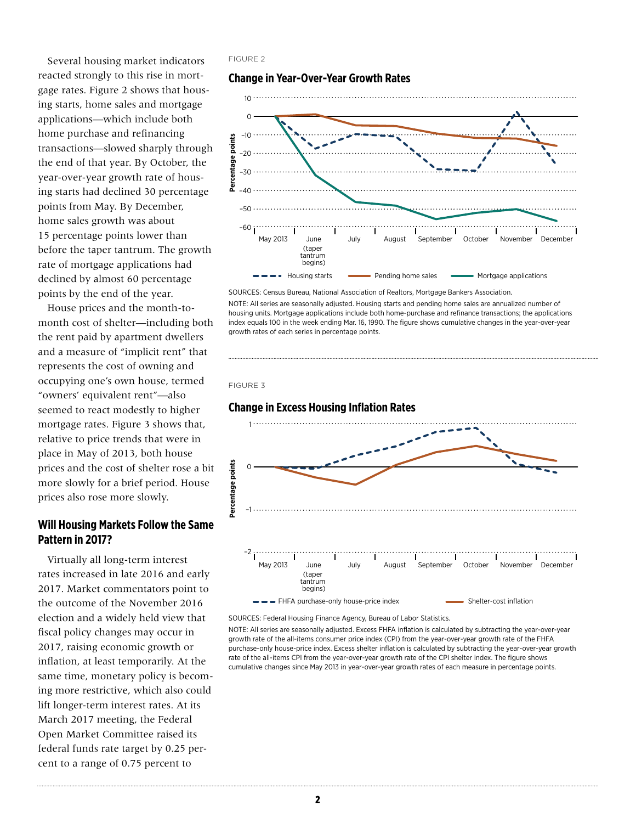Several housing market indicators reacted strongly to this rise in mortgage rates. Figure 2 shows that housing starts, home sales and mortgage applications—which include both home purchase and refinancing transactions—slowed sharply through the end of that year. By October, the year-over-year growth rate of housing starts had declined 30 percentage points from May. By December, home sales growth was about 15 percentage points lower than before the taper tantrum. The growth rate of mortgage applications had declined by almost 60 percentage points by the end of the year.

House prices and the month-tomonth cost of shelter—including both the rent paid by apartment dwellers and a measure of "implicit rent" that represents the cost of owning and occupying one's own house, termed "owners' equivalent rent"—also seemed to react modestly to higher mortgage rates. Figure 3 shows that, relative to price trends that were in place in May of 2013, both house prices and the cost of shelter rose a bit more slowly for a brief period. House prices also rose more slowly.

### **Will Housing Markets Follow the Same Pattern in 2017?**

Virtually all long-term interest rates increased in late 2016 and early 2017. Market commentators point to the outcome of the November 2016 election and a widely held view that fiscal policy changes may occur in 2017, raising economic growth or inflation, at least temporarily. At the same time, monetary policy is becoming more restrictive, which also could lift longer-term interest rates. At its March 2017 meeting, the Federal Open Market Committee raised its federal funds rate target by 0.25 percent to a range of 0.75 percent to

#### FIGURE 2

#### **Change in Year-Over-Year Growth Rates**



SOURCES: Census Bureau, National Association of Realtors, Mortgage Bankers Association.

NOTE: All series are seasonally adjusted. Housing starts and pending home sales are annualized number of housing units. Mortgage applications include both home-purchase and refinance transactions; the applications index equals 100 in the week ending Mar. 16, 1990. The figure shows cumulative changes in the year-over-year growth rates of each series in percentage points.





SOURCES: Federal Housing Finance Agency, Bureau of Labor Statistics.

NOTE: All series are seasonally adjusted. Excess FHFA inflation is calculated by subtracting the year-over-year growth rate of the all-items consumer price index (CPI) from the year-over-year growth rate of the FHFA purchase-only house-price index. Excess shelter inflation is calculated by subtracting the year-over-year growth rate of the all-items CPI from the year-over-year growth rate of the CPI shelter index. The figure shows cumulative changes since May 2013 in year-over-year growth rates of each measure in percentage points.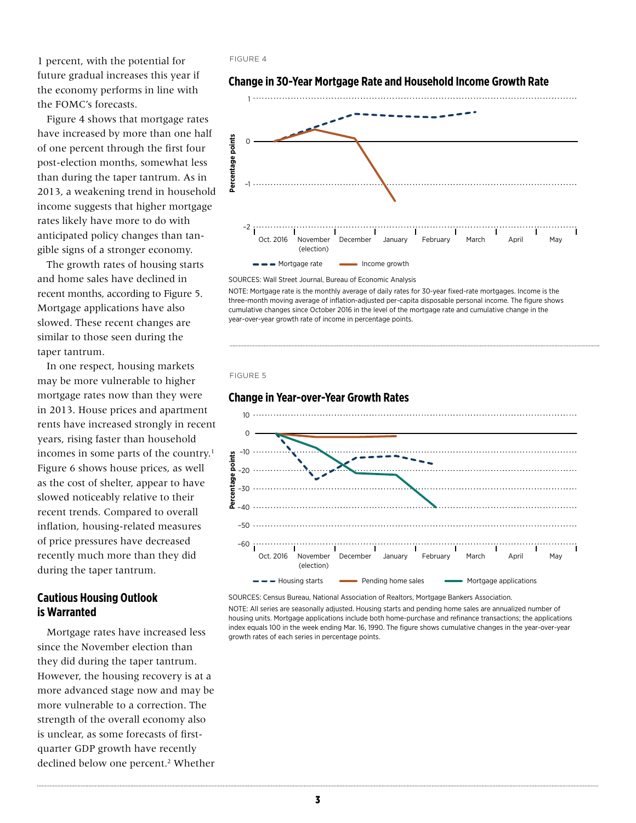1 percent, with the potential for future gradual increases this year if the economy performs in line with the FOMC's forecasts.

Figure 4 shows that mortgage rates have increased by more than one half of one percent through the first four post-election months, somewhat less than during the taper tantrum. As in 2013, a weakening trend in household income suggests that higher mortgage rates likely have more to do with anticipated policy changes than tangible signs of a stronger economy.

The growth rates of housing starts and home sales have declined in recent months, according to Figure 5. Mortgage applications have also slowed. These recent changes are similar to those seen during the taper tantrum.

In one respect, housing markets may be more vulnerable to higher mortgage rates now than they were in 2013. House prices and apartment rents have increased strongly in recent years, rising faster than household incomes in some parts of the country.<sup>1</sup> Figure 6 shows house prices, as well as the cost of shelter, appear to have slowed noticeably relative to their recent trends. Compared to overall inflation, housing-related measures of price pressures have decreased recently much more than they did during the taper tantrum.

# **Cautious Housing Outlook is Warranted**

Mortgage rates have increased less since the November election than they did during the taper tantrum. However, the housing recovery is at a more advanced stage now and may be more vulnerable to a correction. The strength of the overall economy also is unclear, as some forecasts of firstquarter GDP growth have recently declined below one percent.<sup>2</sup> Whether

#### FIGURE 4



#### **Change in 30-Year Mortgage Rate and Household Income Growth Rate**

SOURCES: Wall Street Journal, Bureau of Economic Analysis

NOTE: Mortgage rate is the monthly average of daily rates for 30-year fixed-rate mortgages. Income is the three-month moving average of inflation-adjusted per-capita disposable personal income. The figure shows cumulative changes since October 2016 in the level of the mortgage rate and cumulative change in the year-over-year growth rate of income in percentage points.

#### FIGURE 5

### **Change in Year-over-Year Growth Rates** 10  $\overline{O}$  $-10$ Percentage points **Percentage points** –20 –30  $-40$ –50  $-60$  ; Oct. 2016 November December January February March April May (election)  $\bullet$   $\bullet$  Housing starts  $\bullet$  Pending home sales Mortgage applications

SOURCES: Census Bureau, National Association of Realtors, Mortgage Bankers Association.

NOTE: All series are seasonally adjusted. Housing starts and pending home sales are annualized number of housing units. Mortgage applications include both home-purchase and refinance transactions; the applications index equals 100 in the week ending Mar. 16, 1990. The figure shows cumulative changes in the year-over-year growth rates of each series in percentage points.